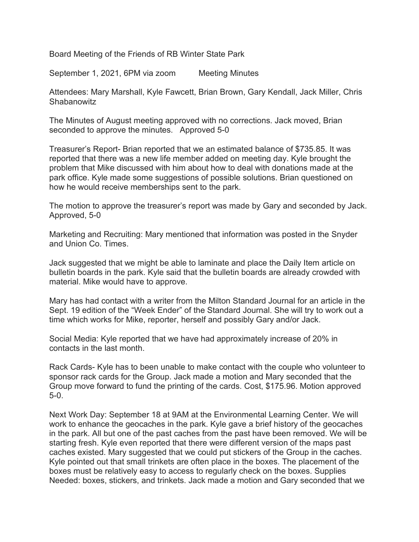Board Meeting of the Friends of RB Winter State Park

September 1, 2021, 6PM via zoom Meeting Minutes

Attendees: Mary Marshall, Kyle Fawcett, Brian Brown, Gary Kendall, Jack Miller, Chris **Shabanowitz** 

The Minutes of August meeting approved with no corrections. Jack moved, Brian seconded to approve the minutes. Approved 5-0

Treasurer's Report- Brian reported that we an estimated balance of \$735.85. It was reported that there was a new life member added on meeting day. Kyle brought the problem that Mike discussed with him about how to deal with donations made at the park office. Kyle made some suggestions of possible solutions. Brian questioned on how he would receive memberships sent to the park.

The motion to approve the treasurer's report was made by Gary and seconded by Jack. Approved, 5-0

Marketing and Recruiting: Mary mentioned that information was posted in the Snyder and Union Co. Times.

Jack suggested that we might be able to laminate and place the Daily Item article on bulletin boards in the park. Kyle said that the bulletin boards are already crowded with material. Mike would have to approve.

Mary has had contact with a writer from the Milton Standard Journal for an article in the Sept. 19 edition of the "Week Ender" of the Standard Journal. She will try to work out a time which works for Mike, reporter, herself and possibly Gary and/or Jack.

Social Media: Kyle reported that we have had approximately increase of 20% in contacts in the last month.

Rack Cards- Kyle has to been unable to make contact with the couple who volunteer to sponsor rack cards for the Group. Jack made a motion and Mary seconded that the Group move forward to fund the printing of the cards. Cost, \$175.96. Motion approved 5-0.

Next Work Day: September 18 at 9AM at the Environmental Learning Center. We will work to enhance the geocaches in the park. Kyle gave a brief history of the geocaches in the park. All but one of the past caches from the past have been removed. We will be starting fresh. Kyle even reported that there were different version of the maps past caches existed. Mary suggested that we could put stickers of the Group in the caches. Kyle pointed out that small trinkets are often place in the boxes. The placement of the boxes must be relatively easy to access to regularly check on the boxes. Supplies Needed: boxes, stickers, and trinkets. Jack made a motion and Gary seconded that we